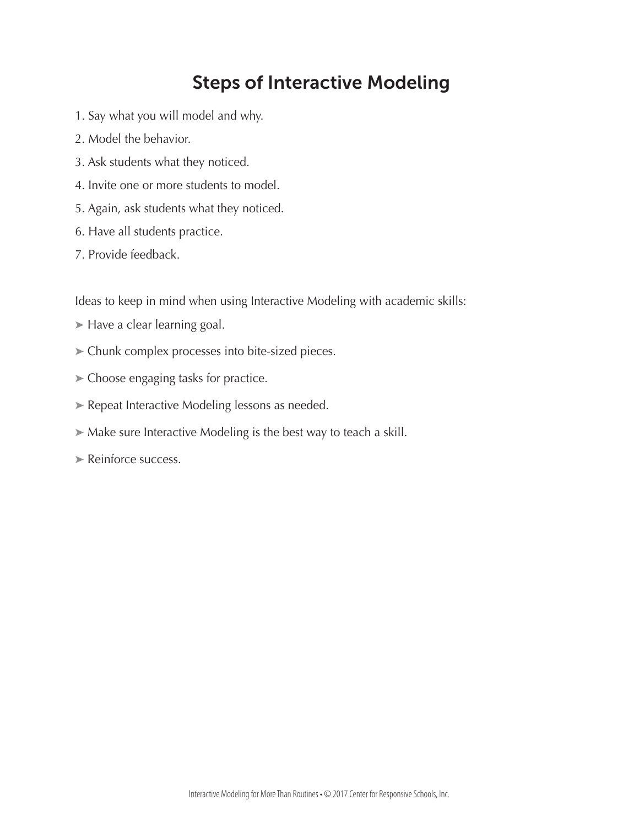# **Steps of Interactive Modeling**

- 1. Say what you will model and why.
- 2. Model the behavior.
- 3. Ask students what they noticed.
- 4. Invite one or more students to model.
- 5. Again, ask students what they noticed.
- 6. Have all students practice.
- 7. Provide feedback.

Ideas to keep in mind when using Interactive Modeling with academic skills:

- **➤** Have a clear learning goal.
- **➤** Chunk complex processes into bite-sized pieces.
- **➤** Choose engaging tasks for practice.
- **➤** Repeat Interactive Modeling lessons as needed.
- **➤** Make sure Interactive Modeling is the best way to teach a skill.
- **➤** Reinforce success.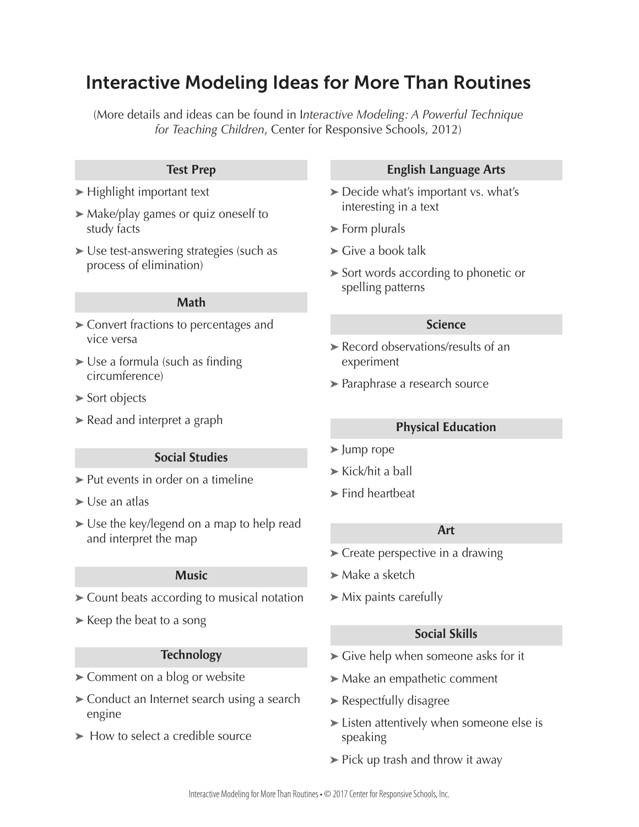# **Interactive Modeling Ideas for More Than Routines**

(More details and ideas can be found in I*nteractive Modeling: A Powerful Technique for Teaching Children*, Center for Responsive Schools, 2012)

#### **Test Prep**

- **➤** Highlight important text
- **➤** Make/play games or quiz oneself to study facts
- **➤** Use test-answering strategies (such as process of elimination)

#### **Math**

- **➤** Convert fractions to percentages and vice versa
- **➤** Use a formula (such as finding circumference)
- **➤** Sort objects
- **➤** Read and interpret a graph

#### **Social Studies**

- **➤** Put events in order on a timeline
- **➤** Use an atlas
- **➤** Use the key/legend on a map to help read and interpret the map

#### **Music**

- **➤** Count beats according to musical notation
- **➤** Keep the beat to a song

### **Technology**

- **➤** Comment on a blog or website
- **➤** Conduct an Internet search using a search engine
- **➤** How to select a credible source

#### **English Language Arts**

- **➤** Decide what's important vs. what's interesting in a text
- **➤** Form plurals
- **➤** Give a book talk
- **➤** Sort words according to phonetic or spelling patterns

#### **Science**

- **➤** Record observations/results of an experiment
- **➤** Paraphrase a research source

#### **Physical Education**

- **➤** Jump rope
- **➤** Kick/hit a ball
- **➤** Find heartbeat

### **Art**

- **➤** Create perspective in a drawing
- **➤** Make a sketch
- **➤** Mix paints carefully

### **Social Skills**

- **➤** Give help when someone asks for it
- **➤** Make an empathetic comment
- **➤** Respectfully disagree
- **➤** Listen attentively when someone else is speaking
- **➤** Pick up trash and throw it away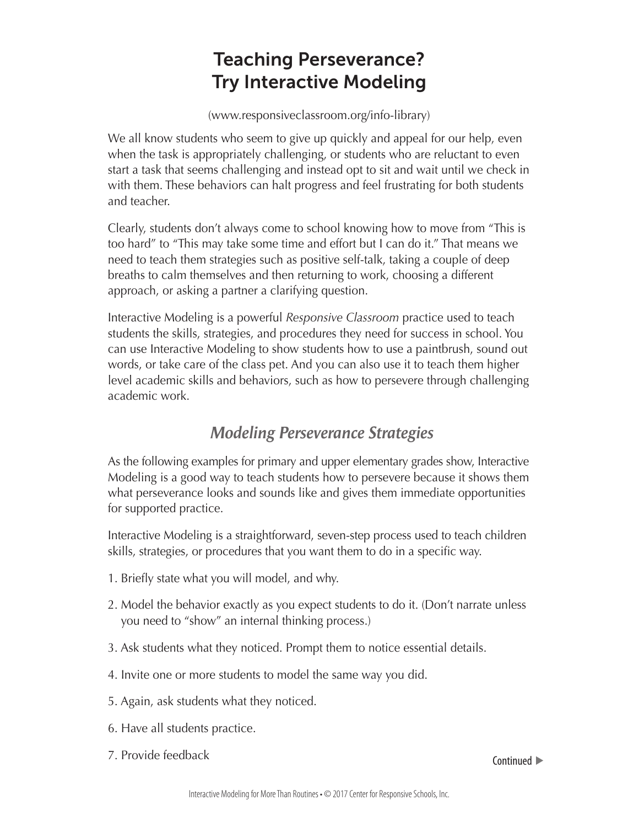# **Teaching Perseverance? Try Interactive Modeling**

(www.responsiveclassroom.org/info-library)

We all know students who seem to give up quickly and appeal for our help, even when the task is appropriately challenging, or students who are reluctant to even start a task that seems challenging and instead opt to sit and wait until we check in with them. These behaviors can halt progress and feel frustrating for both students and teacher.

Clearly, students don't always come to school knowing how to move from "This is too hard" to "This may take some time and effort but I can do it." That means we need to teach them strategies such as positive self-talk, taking a couple of deep breaths to calm themselves and then returning to work, choosing a different approach, or asking a partner a clarifying question.

Interactive Modeling is a powerful *Responsive Classroom* practice used to teach students the skills, strategies, and procedures they need for success in school. You can use Interactive Modeling to show students how to use a paintbrush, sound out words, or take care of the class pet. And you can also use it to teach them higher level academic skills and behaviors, such as how to persevere through challenging academic work.

# *Modeling Perseverance Strategies*

As the following examples for primary and upper elementary grades show, Interactive Modeling is a good way to teach students how to persevere because it shows them what perseverance looks and sounds like and gives them immediate opportunities for supported practice.

Interactive Modeling is a straightforward, seven-step process used to teach children skills, strategies, or procedures that you want them to do in a specific way.

- 1. Briefly state what you will model, and why.
- 2. Model the behavior exactly as you expect students to do it. (Don't narrate unless you need to "show" an internal thinking process.)
- 3. Ask students what they noticed. Prompt them to notice essential details.
- 4. Invite one or more students to model the same way you did.
- 5. Again, ask students what they noticed.
- 6. Have all students practice.
- 7. Provide feedback

Continued **▲**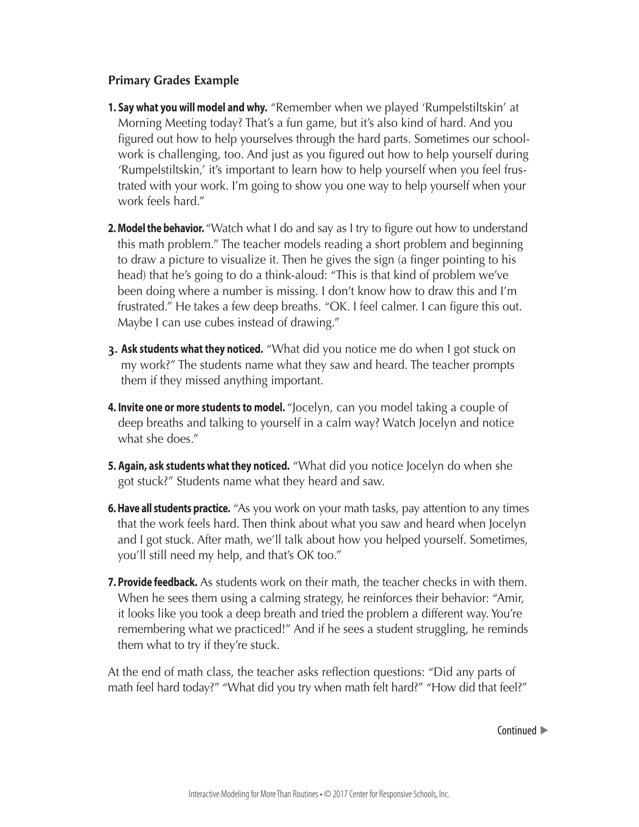## **Primary Grades Example**

- **1. Say what you will model and why.** "Remember when we played 'Rumpelstiltskin' at Morning Meeting today? That's a fun game, but it's also kind of hard. And you figured out how to help yourselves through the hard parts. Sometimes our schoolwork is challenging, too. And just as you figured out how to help yourself during 'Rumpelstiltskin,' it's important to learn how to help yourself when you feel frustrated with your work. I'm going to show you one way to help yourself when your work feels hard."
- **2. Model the behavior.** "Watch what I do and say as I try to figure out how to understand this math problem." The teacher models reading a short problem and beginning to draw a picture to visualize it. Then he gives the sign (a finger pointing to his head) that he's going to do a think-aloud: "This is that kind of problem we've been doing where a number is missing. I don't know how to draw this and I'm frustrated." He takes a few deep breaths. "OK. I feel calmer. I can figure this out. Maybe I can use cubes instead of drawing."
- **3. Ask students what they noticed.** "What did you notice me do when I got stuck on my work?" The students name what they saw and heard. The teacher prompts them if they missed anything important.
- **4. Invite one or more students to model.** "Jocelyn, can you model taking a couple of deep breaths and talking to yourself in a calm way? Watch Jocelyn and notice what she does."
- **5. Again, ask students what they noticed.** "What did you notice Jocelyn do when she got stuck?" Students name what they heard and saw.
- **6.Have all students practice.** "As you work on your math tasks, pay attention to any times that the work feels hard. Then think about what you saw and heard when Jocelyn and I got stuck. After math, we'll talk about how you helped yourself. Sometimes, you'll still need my help, and that's OK too."
- **7. Provide feedback.** As students work on their math, the teacher checks in with them. When he sees them using a calming strategy, he reinforces their behavior: "Amir, it looks like you took a deep breath and tried the problem a different way. You're remembering what we practiced!" And if he sees a student struggling, he reminds them what to try if they're stuck.

At the end of math class, the teacher asks reflection questions: "Did any parts of math feel hard today?" "What did you try when math felt hard?" "How did that feel?"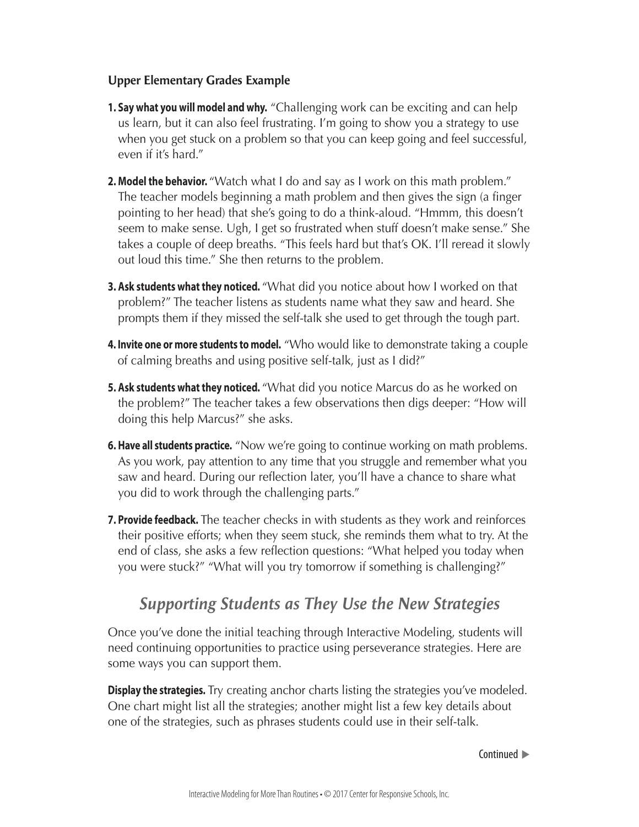## **Upper Elementary Grades Example**

- **1. Say what you will model and why.** "Challenging work can be exciting and can help us learn, but it can also feel frustrating. I'm going to show you a strategy to use when you get stuck on a problem so that you can keep going and feel successful, even if it's hard."
- **2. Model the behavior.** "Watch what I do and say as I work on this math problem." The teacher models beginning a math problem and then gives the sign (a finger pointing to her head) that she's going to do a think-aloud. "Hmmm, this doesn't seem to make sense. Ugh, I get so frustrated when stuff doesn't make sense." She takes a couple of deep breaths. "This feels hard but that's OK. I'll reread it slowly out loud this time." She then returns to the problem.
- **3. Ask students what they noticed.** "What did you notice about how I worked on that problem?" The teacher listens as students name what they saw and heard. She prompts them if they missed the self-talk she used to get through the tough part.
- **4. Invite one or more students to model.** "Who would like to demonstrate taking a couple of calming breaths and using positive self-talk, just as I did?"
- **5. Ask students what they noticed.** "What did you notice Marcus do as he worked on the problem?" The teacher takes a few observations then digs deeper: "How will doing this help Marcus?" she asks.
- **6. Have all students practice.** "Now we're going to continue working on math problems. As you work, pay attention to any time that you struggle and remember what you saw and heard. During our reflection later, you'll have a chance to share what you did to work through the challenging parts."
- **7. Provide feedback.** The teacher checks in with students as they work and reinforces their positive efforts; when they seem stuck, she reminds them what to try. At the end of class, she asks a few reflection questions: "What helped you today when you were stuck?" "What will you try tomorrow if something is challenging?"

# *Supporting Students as They Use the New Strategies*

Once you've done the initial teaching through Interactive Modeling, students will need continuing opportunities to practice using perseverance strategies. Here are some ways you can support them.

**Display the strategies.** Try creating anchor charts listing the strategies you've modeled. One chart might list all the strategies; another might list a few key details about one of the strategies, such as phrases students could use in their self-talk.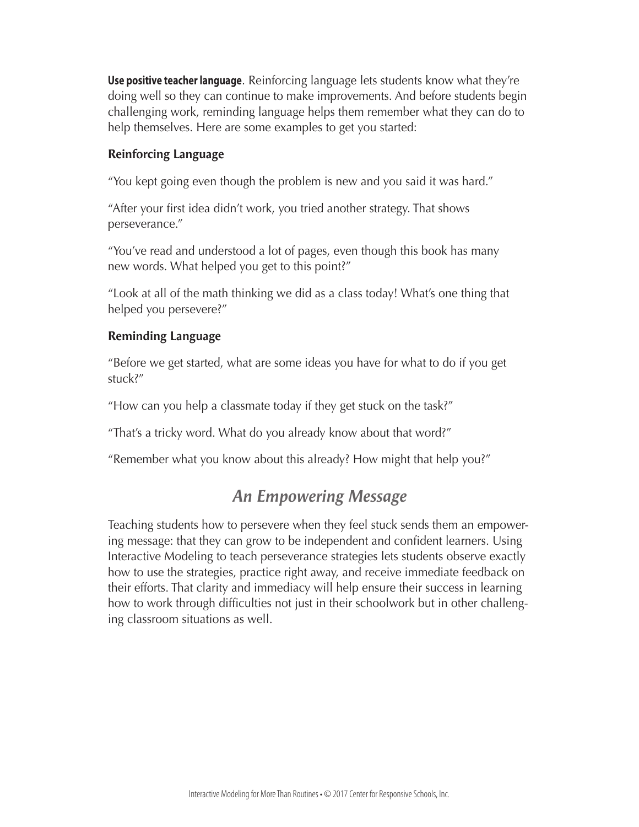**Use positive teacher language**. Reinforcing language lets students know what they're doing well so they can continue to make improvements. And before students begin challenging work, reminding language helps them remember what they can do to help themselves. Here are some examples to get you started:

## **Reinforcing Language**

"You kept going even though the problem is new and you said it was hard."

"After your first idea didn't work, you tried another strategy. That shows perseverance."

"You've read and understood a lot of pages, even though this book has many new words. What helped you get to this point?"

"Look at all of the math thinking we did as a class today! What's one thing that helped you persevere?"

## **Reminding Language**

"Before we get started, what are some ideas you have for what to do if you get stuck?"

"How can you help a classmate today if they get stuck on the task?"

"That's a tricky word. What do you already know about that word?"

"Remember what you know about this already? How might that help you?"

# *An Empowering Message*

Teaching students how to persevere when they feel stuck sends them an empowering message: that they can grow to be independent and confident learners. Using Interactive Modeling to teach perseverance strategies lets students observe exactly how to use the strategies, practice right away, and receive immediate feedback on their efforts. That clarity and immediacy will help ensure their success in learning how to work through difficulties not just in their schoolwork but in other challenging classroom situations as well.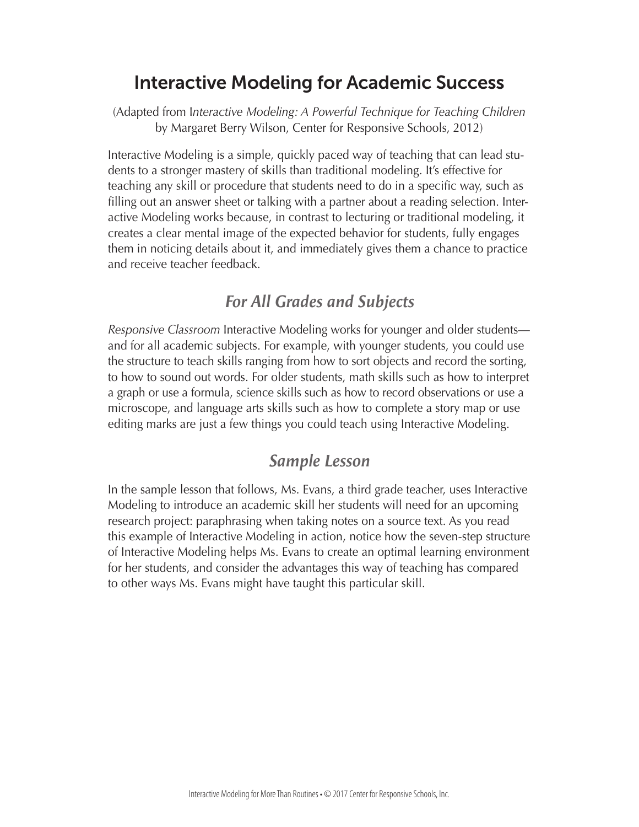# **Interactive Modeling for Academic Success**

(Adapted from I*nteractive Modeling: A Powerful Technique for Teaching Children* by Margaret Berry Wilson, Center for Responsive Schools, 2012)

Interactive Modeling is a simple, quickly paced way of teaching that can lead students to a stronger mastery of skills than traditional modeling. It's effective for teaching any skill or procedure that students need to do in a specific way, such as filling out an answer sheet or talking with a partner about a reading selection. Interactive Modeling works because, in contrast to lecturing or traditional modeling, it creates a clear mental image of the expected behavior for students, fully engages them in noticing details about it, and immediately gives them a chance to practice and receive teacher feedback.

## *For All Grades and Subjects*

*Responsive Classroom* Interactive Modeling works for younger and older students and for all academic subjects. For example, with younger students, you could use the structure to teach skills ranging from how to sort objects and record the sorting, to how to sound out words. For older students, math skills such as how to interpret a graph or use a formula, science skills such as how to record observations or use a microscope, and language arts skills such as how to complete a story map or use editing marks are just a few things you could teach using Interactive Modeling.

## *Sample Lesson*

In the sample lesson that follows, Ms. Evans, a third grade teacher, uses Interactive Modeling to introduce an academic skill her students will need for an upcoming research project: paraphrasing when taking notes on a source text. As you read this example of Interactive Modeling in action, notice how the seven-step structure of Interactive Modeling helps Ms. Evans to create an optimal learning environment for her students, and consider the advantages this way of teaching has compared to other ways Ms. Evans might have taught this particular skill.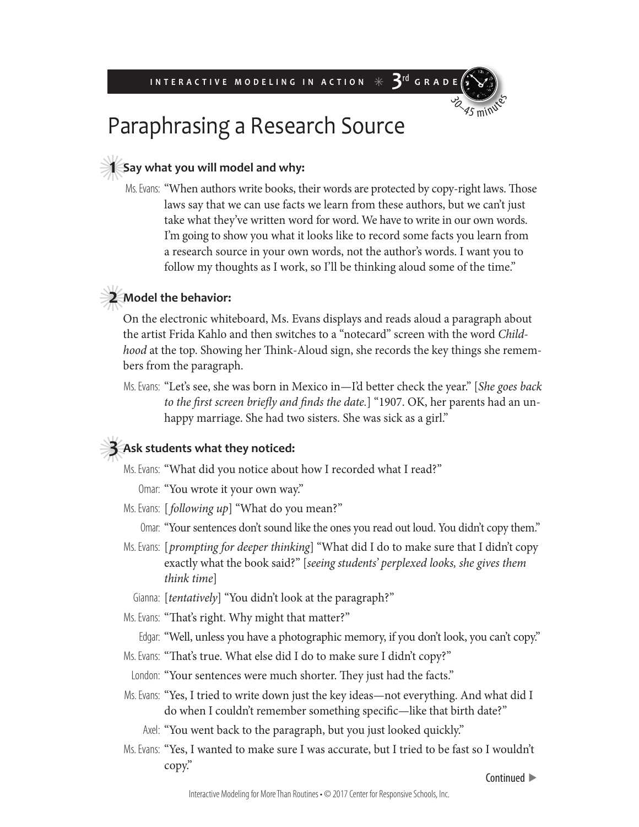

# Paraphrasing a Research Source

### **✺<sup>1</sup> Say what you will model and why:**

Ms. Evans: "When authors write books, their words are protected by copy-right laws. Those laws say that we can use facts we learn from these authors, but we can't just take what they've written word for word. We have to write in our own words. I'm going to show you what it looks like to record some facts you learn from a research source in your own words, not the author's words. I want you to follow my thoughts as I work, so I'll be thinking aloud some of the time."

## **✺<sup>2</sup> Model the behavior:**

On the electronic whiteboard, Ms. Evans displays and reads aloud a paragraph about the artist Frida Kahlo and then switches to a "notecard" screen with the word Childhood at the top. Showing her Think-Aloud sign, she records the key things she remembers from the paragraph.

Ms. Evans: "Let's see, she was born in Mexico in—I'd better check the year." [She goes back to the first screen briefly and finds the date.] "1907. OK, her parents had an unhappy marriage. She had two sisters. She was sick as a girl."

## **✺<sup>3</sup> Ask students what they noticed:**

Ms.Evans: "What did you notice about how I recorded what I read?"

Omar: "You wrote it your own way."

Ms. Evans: [following up] "What do you mean?"

Omar: "Your sentences don't sound like the ones you read out loud. You didn't copy them."

- Ms. Evans: [prompting for deeper thinking] "What did I do to make sure that I didn't copy exactly what the book said?" [seeing students' perplexed looks, she gives them think time]
	- Gianna: *[tentatively]* "You didn't look at the paragraph?"
- Ms. Evans: "That's right. Why might that matter?"

Edgar: "Well, unless you have a photographic memory, if you don't look, you can't copy."

Ms. Evans: "That's true. What else did I do to make sure I didn't copy?"

London: "Your sentences were much shorter. They just had the facts."

- Ms.Evans: "Yes, I tried to write down just the key ideas—not everything. And what did I do when I couldn't remember something specific—like that birth date?"
	- Axel: "You went back to the paragraph, but you just looked quickly."
- Ms.Evans: "Yes, I wanted to make sure I was accurate, but I tried to be fast so I wouldn't copy."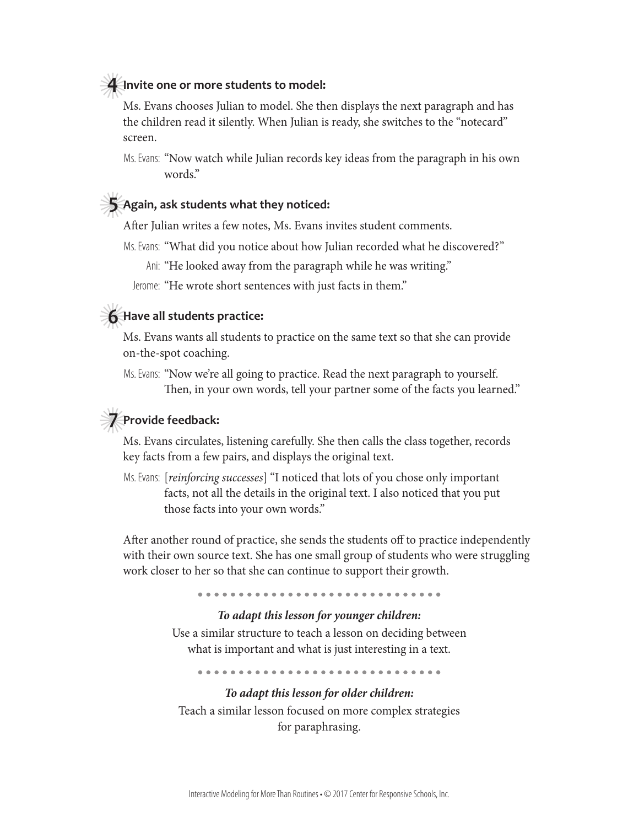## **✺<sup>4</sup> Invite one or more students to model:**

Ms. Evans chooses Julian to model. She then displays the next paragraph and has the children read it silently. When Julian is ready, she switches to the "notecard" screen.

Ms.Evans: "Now watch while Julian records key ideas from the paragraph in his own words."

**✺<sup>5</sup> Again, ask students what they noticed:**

After Julian writes a few notes, Ms. Evans invites student comments.

Ms.Evans: "What did you notice about how Julian recorded what he discovered?"

Ani: "He looked away from the paragraph while he was writing."

Jerome: "He wrote short sentences with just facts in them."

## **✺<sup>6</sup> Have all students practice:**

Ms. Evans wants all students to practice on the same text so that she can provide on-the-spot coaching.

Ms.Evans: "Now we're all going to practice. Read the next paragraph to yourself. Then, in your own words, tell your partner some of the facts you learned."

## **✺<sup>7</sup> Provide feedback:**

Ms. Evans circulates, listening carefully. She then calls the class together, records key facts from a few pairs, and displays the original text.

Ms. Evans: [reinforcing successes] "I noticed that lots of you chose only important facts, not all the details in the original text. I also noticed that you put those facts into your own words."

After another round of practice, she sends the students off to practice independently with their own source text. She has one small group of students who were struggling work closer to her so that she can continue to support their growth.

#### *To adapt this lesson for younger children:*

Use a similar structure to teach a lesson on deciding between what is important and what is just interesting in a text.

#### *To adapt this lesson for older children:*

Teach a similar lesson focused on more complex strategies for paraphrasing.